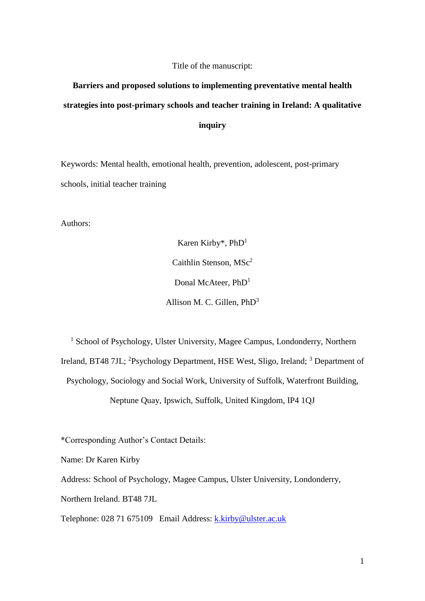### Title of the manuscript:

# **Barriers and proposed solutions to implementing preventative mental health strategies into post-primary schools and teacher training in Ireland: A qualitative inquiry**

Keywords: Mental health, emotional health, prevention, adolescent, post-primary schools, initial teacher training

Authors:

Karen Kirby\*, PhD<sup>1</sup> Caithlin Stenson, MSc<sup>2</sup> Donal McAteer, PhD<sup>1</sup> Allison M. C. Gillen, PhD<sup>3</sup>

<sup>1</sup> School of Psychology, Ulster University, Magee Campus, Londonderry, Northern Ireland, BT48 7JL; <sup>2</sup>Psychology Department, HSE West, Sligo, Ireland; <sup>3</sup> Department of Psychology, Sociology and Social Work, University of Suffolk, Waterfront Building, Neptune Quay, Ipswich, Suffolk, United Kingdom, IP4 1QJ

\*Corresponding Author's Contact Details:

Name: Dr Karen Kirby

Address: School of Psychology, Magee Campus, Ulster University, Londonderry,

Northern Ireland. BT48 7JL

Telephone: 028 71 675109 Email Address: [k.kirby@ulster.ac.uk](mailto:k.kirby@ulster.ac.uk)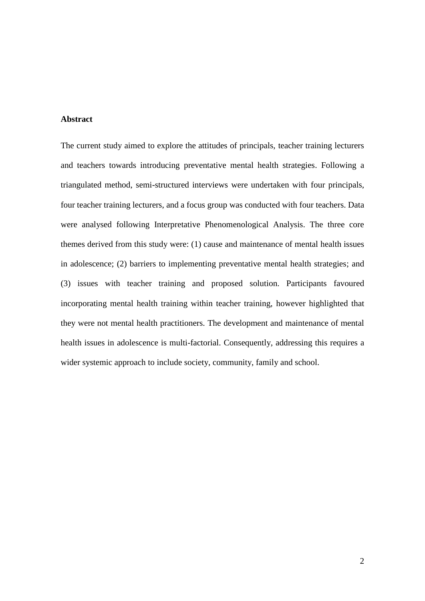## **Abstract**

The current study aimed to explore the attitudes of principals, teacher training lecturers and teachers towards introducing preventative mental health strategies. Following a triangulated method, semi-structured interviews were undertaken with four principals, four teacher training lecturers, and a focus group was conducted with four teachers. Data were analysed following Interpretative Phenomenological Analysis. The three core themes derived from this study were: (1) cause and maintenance of mental health issues in adolescence; (2) barriers to implementing preventative mental health strategies; and (3) issues with teacher training and proposed solution. Participants favoured incorporating mental health training within teacher training, however highlighted that they were not mental health practitioners. The development and maintenance of mental health issues in adolescence is multi-factorial. Consequently, addressing this requires a wider systemic approach to include society, community, family and school.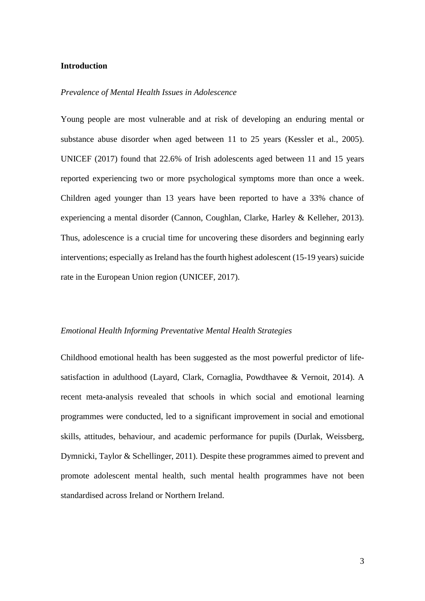### **Introduction**

### *Prevalence of Mental Health Issues in Adolescence*

Young people are most vulnerable and at risk of developing an enduring mental or substance abuse disorder when aged between 11 to 25 years (Kessler et al., 2005). UNICEF (2017) found that 22.6% of Irish adolescents aged between 11 and 15 years reported experiencing two or more psychological symptoms more than once a week. Children aged younger than 13 years have been reported to have a 33% chance of experiencing a mental disorder (Cannon, Coughlan, Clarke, Harley & Kelleher, 2013). Thus, adolescence is a crucial time for uncovering these disorders and beginning early interventions; especially as Ireland has the fourth highest adolescent (15-19 years) suicide rate in the European Union region (UNICEF, 2017).

### *Emotional Health Informing Preventative Mental Health Strategies*

Childhood emotional health has been suggested as the most powerful predictor of lifesatisfaction in adulthood (Layard, Clark, Cornaglia, Powdthavee & Vernoit, 2014). A recent meta-analysis revealed that schools in which social and emotional learning programmes were conducted, led to a significant improvement in social and emotional skills, attitudes, behaviour, and academic performance for pupils (Durlak, Weissberg, Dymnicki, Taylor & Schellinger, 2011). Despite these programmes aimed to prevent and promote adolescent mental health, such mental health programmes have not been standardised across Ireland or Northern Ireland.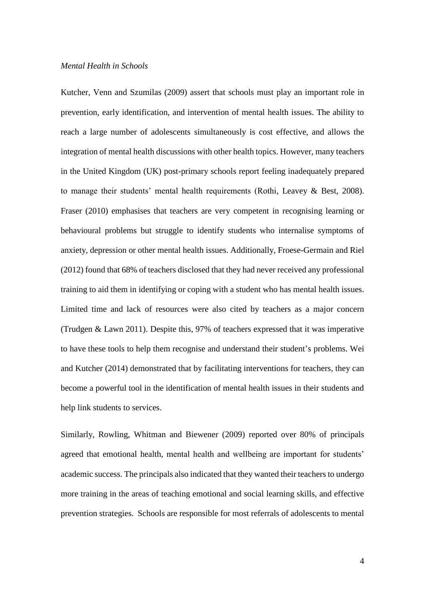### *Mental Health in Schools*

Kutcher, Venn and Szumilas (2009) assert that schools must play an important role in prevention, early identification, and intervention of mental health issues. The ability to reach a large number of adolescents simultaneously is cost effective, and allows the integration of mental health discussions with other health topics. However, many teachers in the United Kingdom (UK) post-primary schools report feeling inadequately prepared to manage their students' mental health requirements (Rothi, Leavey & Best, 2008). Fraser (2010) emphasises that teachers are very competent in recognising learning or behavioural problems but struggle to identify students who internalise symptoms of anxiety, depression or other mental health issues. Additionally, Froese-Germain and Riel (2012) found that 68% of teachers disclosed that they had never received any professional training to aid them in identifying or coping with a student who has mental health issues. Limited time and lack of resources were also cited by teachers as a major concern (Trudgen & Lawn 2011). Despite this, 97% of teachers expressed that it was imperative to have these tools to help them recognise and understand their student's problems. Wei and Kutcher (2014) demonstrated that by facilitating interventions for teachers, they can become a powerful tool in the identification of mental health issues in their students and help link students to services.

Similarly, Rowling, Whitman and Biewener (2009) reported over 80% of principals agreed that emotional health, mental health and wellbeing are important for students' academic success. The principals also indicated that they wanted their teachers to undergo more training in the areas of teaching emotional and social learning skills, and effective prevention strategies. Schools are responsible for most referrals of adolescents to mental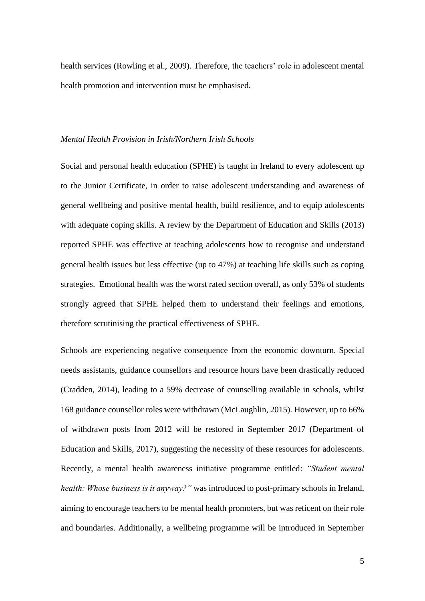health services (Rowling et al., 2009). Therefore, the teachers' role in adolescent mental health promotion and intervention must be emphasised.

### *Mental Health Provision in Irish/Northern Irish Schools*

Social and personal health education (SPHE) is taught in Ireland to every adolescent up to the Junior Certificate, in order to raise adolescent understanding and awareness of general wellbeing and positive mental health, build resilience, and to equip adolescents with adequate coping skills. A review by the Department of Education and Skills (2013) reported SPHE was effective at teaching adolescents how to recognise and understand general health issues but less effective (up to 47%) at teaching life skills such as coping strategies. Emotional health was the worst rated section overall, as only 53% of students strongly agreed that SPHE helped them to understand their feelings and emotions, therefore scrutinising the practical effectiveness of SPHE.

Schools are experiencing negative consequence from the economic downturn. Special needs assistants, guidance counsellors and resource hours have been drastically reduced (Cradden, 2014), leading to a 59% decrease of counselling available in schools, whilst 168 guidance counsellor roles were withdrawn (McLaughlin, 2015). However, up to 66% of withdrawn posts from 2012 will be restored in September 2017 (Department of Education and Skills, 2017), suggesting the necessity of these resources for adolescents. Recently, a mental health awareness initiative programme entitled: *"Student mental health: Whose business is it anyway?"* was introduced to post-primary schools in Ireland, aiming to encourage teachers to be mental health promoters, but was reticent on their role and boundaries. Additionally, a wellbeing programme will be introduced in September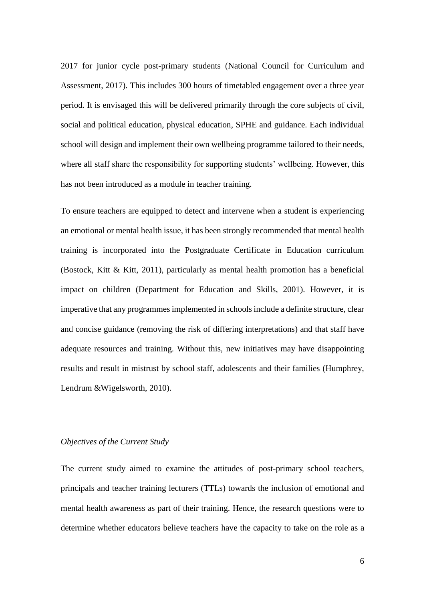2017 for junior cycle post-primary students (National Council for Curriculum and Assessment, 2017). This includes 300 hours of timetabled engagement over a three year period. It is envisaged this will be delivered primarily through the core subjects of civil, social and political education, physical education, SPHE and guidance. Each individual school will design and implement their own wellbeing programme tailored to their needs, where all staff share the responsibility for supporting students' wellbeing. However, this has not been introduced as a module in teacher training.

To ensure teachers are equipped to detect and intervene when a student is experiencing an emotional or mental health issue, it has been strongly recommended that mental health training is incorporated into the Postgraduate Certificate in Education curriculum (Bostock, Kitt & Kitt, 2011), particularly as mental health promotion has a beneficial impact on children (Department for Education and Skills, 2001). However, it is imperative that any programmes implemented in schools include a definite structure, clear and concise guidance (removing the risk of differing interpretations) and that staff have adequate resources and training. Without this, new initiatives may have disappointing results and result in mistrust by school staff, adolescents and their families (Humphrey, Lendrum &Wigelsworth, 2010).

## *Objectives of the Current Study*

The current study aimed to examine the attitudes of post-primary school teachers, principals and teacher training lecturers (TTLs) towards the inclusion of emotional and mental health awareness as part of their training. Hence, the research questions were to determine whether educators believe teachers have the capacity to take on the role as a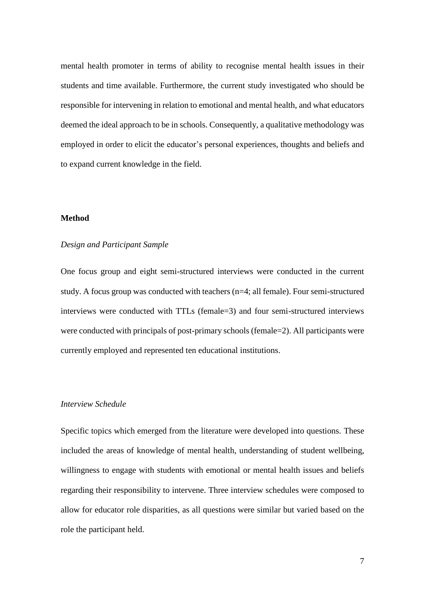mental health promoter in terms of ability to recognise mental health issues in their students and time available. Furthermore, the current study investigated who should be responsible for intervening in relation to emotional and mental health, and what educators deemed the ideal approach to be in schools. Consequently, a qualitative methodology was employed in order to elicit the educator's personal experiences, thoughts and beliefs and to expand current knowledge in the field.

### **Method**

### *Design and Participant Sample*

One focus group and eight semi-structured interviews were conducted in the current study. A focus group was conducted with teachers (n=4; all female). Four semi-structured interviews were conducted with TTLs (female=3) and four semi-structured interviews were conducted with principals of post-primary schools (female=2). All participants were currently employed and represented ten educational institutions.

## *Interview Schedule*

Specific topics which emerged from the literature were developed into questions. These included the areas of knowledge of mental health, understanding of student wellbeing, willingness to engage with students with emotional or mental health issues and beliefs regarding their responsibility to intervene. Three interview schedules were composed to allow for educator role disparities, as all questions were similar but varied based on the role the participant held.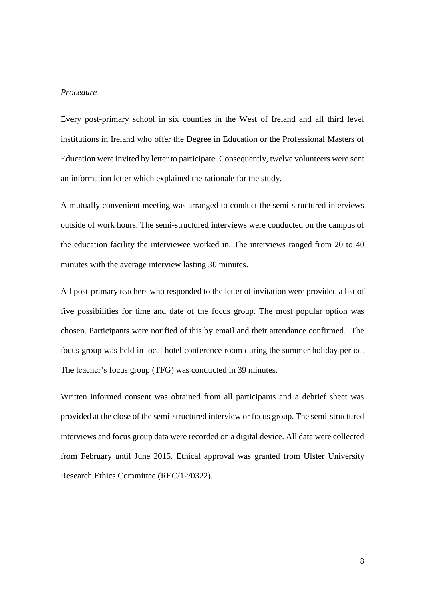## *Procedure*

Every post-primary school in six counties in the West of Ireland and all third level institutions in Ireland who offer the Degree in Education or the Professional Masters of Education were invited by letter to participate. Consequently, twelve volunteers were sent an information letter which explained the rationale for the study.

A mutually convenient meeting was arranged to conduct the semi-structured interviews outside of work hours. The semi-structured interviews were conducted on the campus of the education facility the interviewee worked in. The interviews ranged from 20 to 40 minutes with the average interview lasting 30 minutes.

All post-primary teachers who responded to the letter of invitation were provided a list of five possibilities for time and date of the focus group. The most popular option was chosen. Participants were notified of this by email and their attendance confirmed. The focus group was held in local hotel conference room during the summer holiday period. The teacher's focus group (TFG) was conducted in 39 minutes.

Written informed consent was obtained from all participants and a debrief sheet was provided at the close of the semi-structured interview or focus group. The semi-structured interviews and focus group data were recorded on a digital device. All data were collected from February until June 2015. Ethical approval was granted from Ulster University Research Ethics Committee (REC/12/0322).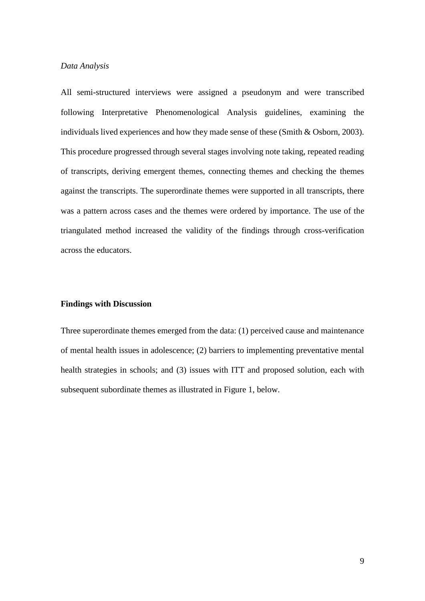### *Data Analysis*

All semi-structured interviews were assigned a pseudonym and were transcribed following Interpretative Phenomenological Analysis guidelines, examining the individuals lived experiences and how they made sense of these (Smith & Osborn, 2003). This procedure progressed through several stages involving note taking, repeated reading of transcripts, deriving emergent themes, connecting themes and checking the themes against the transcripts. The superordinate themes were supported in all transcripts, there was a pattern across cases and the themes were ordered by importance. The use of the triangulated method increased the validity of the findings through cross-verification across the educators.

### **Findings with Discussion**

Three superordinate themes emerged from the data: (1) perceived cause and maintenance of mental health issues in adolescence; (2) barriers to implementing preventative mental health strategies in schools; and (3) issues with ITT and proposed solution, each with subsequent subordinate themes as illustrated in Figure 1, below.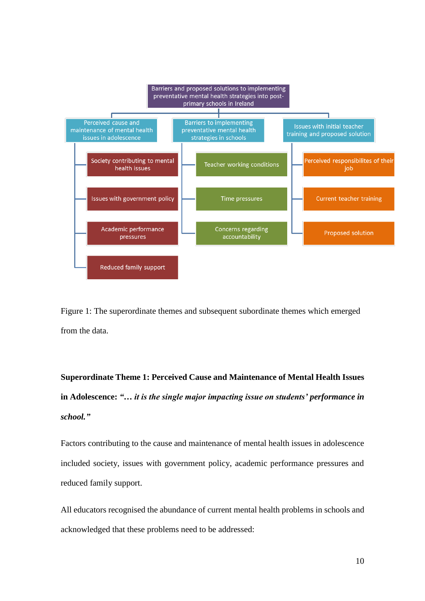

Figure 1: The superordinate themes and subsequent subordinate themes which emerged from the data.

**Superordinate Theme 1: Perceived Cause and Maintenance of Mental Health Issues in Adolescence:** *"… it is the single major impacting issue on students' performance in school."*

Factors contributing to the cause and maintenance of mental health issues in adolescence included society, issues with government policy, academic performance pressures and reduced family support.

All educators recognised the abundance of current mental health problems in schools and acknowledged that these problems need to be addressed: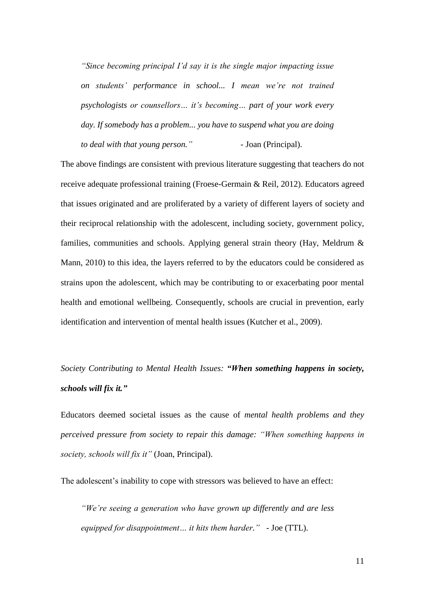*"Since becoming principal I'd say it is the single major impacting issue on students' performance in school... I mean we're not trained psychologists or counsellors… it's becoming… part of your work every day. If somebody has a problem... you have to suspend what you are doing to deal with that young person."* - Joan (Principal).

The above findings are consistent with previous literature suggesting that teachers do not receive adequate professional training (Froese-Germain & Reil, 2012). Educators agreed that issues originated and are proliferated by a variety of different layers of society and their reciprocal relationship with the adolescent, including society, government policy, families, communities and schools. Applying general strain theory (Hay, Meldrum & Mann, 2010) to this idea, the layers referred to by the educators could be considered as strains upon the adolescent, which may be contributing to or exacerbating poor mental health and emotional wellbeing. Consequently, schools are crucial in prevention, early identification and intervention of mental health issues (Kutcher et al., 2009).

*Society Contributing to Mental Health Issues: "When something happens in society, schools will fix it."*

Educators deemed societal issues as the cause of *mental health problems and they perceived pressure from society to repair this damage: "When something happens in society, schools will fix it"* (Joan, Principal).

The adolescent's inability to cope with stressors was believed to have an effect:

*"We're seeing a generation who have grown up differently and are less equipped for disappointment… it hits them harder." -* Joe (TTL).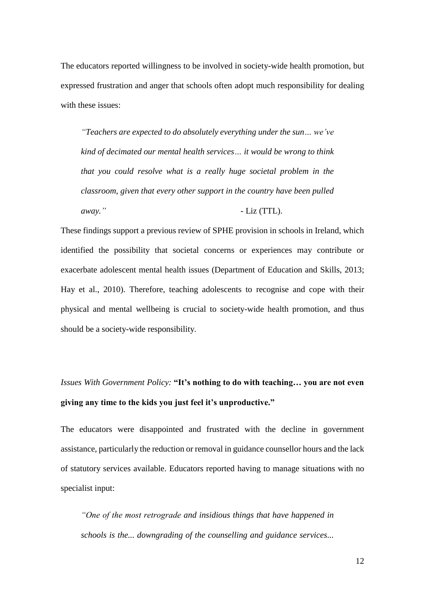The educators reported willingness to be involved in society-wide health promotion, but expressed frustration and anger that schools often adopt much responsibility for dealing with these issues:

*"Teachers are expected to do absolutely everything under the sun… we've kind of decimated our mental health services… it would be wrong to think that you could resolve what is a really huge societal problem in the classroom, given that every other support in the country have been pulled away."* - Liz (TTL).

These findings support a previous review of SPHE provision in schools in Ireland, which identified the possibility that societal concerns or experiences may contribute or exacerbate adolescent mental health issues (Department of Education and Skills, 2013; Hay et al., 2010). Therefore, teaching adolescents to recognise and cope with their physical and mental wellbeing is crucial to society-wide health promotion, and thus should be a society-wide responsibility.

# *Issues With Government Policy:* **"It's nothing to do with teaching… you are not even giving any time to the kids you just feel it's unproductive."**

The educators were disappointed and frustrated with the decline in government assistance, particularly the reduction or removal in guidance counsellor hours and the lack of statutory services available. Educators reported having to manage situations with no specialist input:

*"One of the most retrograde and insidious things that have happened in schools is the... downgrading of the counselling and guidance services...*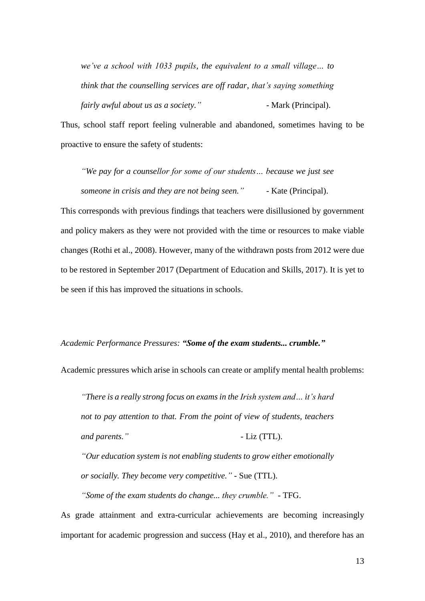*we've a school with 1033 pupils, the equivalent to a small village… to think that the counselling services are off radar, that's saying something fairly awful about us as a society.*" - Mark (Principal).

Thus, school staff report feeling vulnerable and abandoned, sometimes having to be proactive to ensure the safety of students:

*"We pay for a counsellor for some of our students… because we just see someone in crisis and they are not being seen."* - Kate (Principal).

This corresponds with previous findings that teachers were disillusioned by government and policy makers as they were not provided with the time or resources to make viable changes (Rothi et al., 2008). However, many of the withdrawn posts from 2012 were due to be restored in September 2017 (Department of Education and Skills, 2017). It is yet to be seen if this has improved the situations in schools.

## *Academic Performance Pressures: "Some of the exam students... crumble."*

Academic pressures which arise in schools can create or amplify mental health problems:

*"There is a really strong focus on exams in the Irish system and… it's hard not to pay attention to that. From the point of view of students, teachers and parents."* - Liz (TTL). *"Our education system is not enabling students to grow either emotionally* 

*or socially. They become very competitive."* - Sue (TTL).

*"Some of the exam students do change... they crumble." -* TFG.

As grade attainment and extra-curricular achievements are becoming increasingly important for academic progression and success (Hay et al., 2010), and therefore has an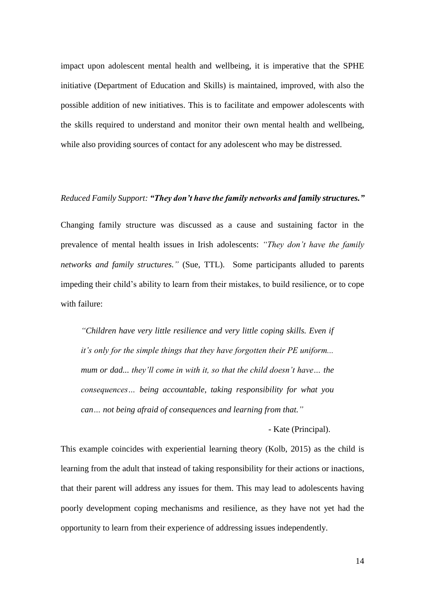impact upon adolescent mental health and wellbeing, it is imperative that the SPHE initiative (Department of Education and Skills) is maintained, improved, with also the possible addition of new initiatives. This is to facilitate and empower adolescents with the skills required to understand and monitor their own mental health and wellbeing, while also providing sources of contact for any adolescent who may be distressed.

#### *Reduced Family Support: "They don't have the family networks and family structures."*

Changing family structure was discussed as a cause and sustaining factor in the prevalence of mental health issues in Irish adolescents: *"They don't have the family networks and family structures."* (Sue, TTL). Some participants alluded to parents impeding their child's ability to learn from their mistakes, to build resilience, or to cope with failure:

*"Children have very little resilience and very little coping skills. Even if it's only for the simple things that they have forgotten their PE uniform... mum or dad... they'll come in with it, so that the child doesn't have… the consequences… being accountable, taking responsibility for what you can… not being afraid of consequences and learning from that."*

- Kate (Principal).

This example coincides with experiential learning theory (Kolb, 2015) as the child is learning from the adult that instead of taking responsibility for their actions or inactions, that their parent will address any issues for them. This may lead to adolescents having poorly development coping mechanisms and resilience, as they have not yet had the opportunity to learn from their experience of addressing issues independently.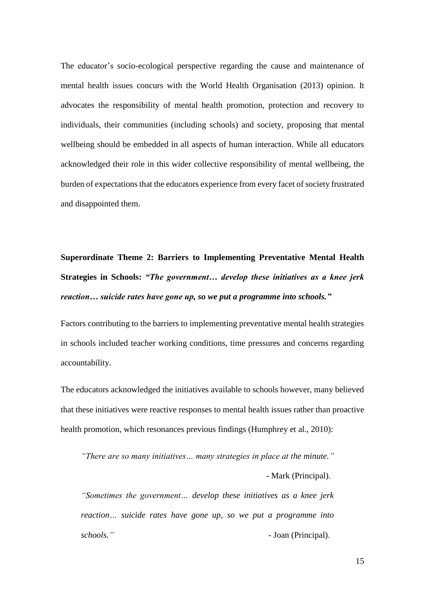The educator's socio-ecological perspective regarding the cause and maintenance of mental health issues concurs with the World Health Organisation (2013) opinion. It advocates the responsibility of mental health promotion, protection and recovery to individuals, their communities (including schools) and society, proposing that mental wellbeing should be embedded in all aspects of human interaction. While all educators acknowledged their role in this wider collective responsibility of mental wellbeing, the burden of expectations that the educators experience from every facet of society frustrated and disappointed them.

# **Superordinate Theme 2: Barriers to Implementing Preventative Mental Health Strategies in Schools:** *"The government… develop these initiatives as a knee jerk reaction… suicide rates have gone up, so we put a programme into schools."*

Factors contributing to the barriers to implementing preventative mental health strategies in schools included teacher working conditions, time pressures and concerns regarding accountability.

The educators acknowledged the initiatives available to schools however, many believed that these initiatives were reactive responses to mental health issues rather than proactive health promotion, which resonances previous findings (Humphrey et al., 2010):

*"There are so many initiatives… many strategies in place at the minute."* - Mark (Principal).

*"Sometimes the government… develop these initiatives as a knee jerk reaction… suicide rates have gone up, so we put a programme into schools."* - Joan (Principal).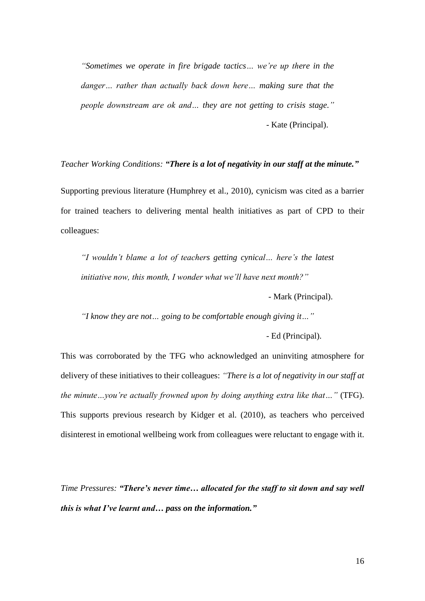*"Sometimes we operate in fire brigade tactics… we're up there in the danger… rather than actually back down here… making sure that the people downstream are ok and… they are not getting to crisis stage."* - Kate (Principal).

*Teacher Working Conditions: "There is a lot of negativity in our staff at the minute."*

Supporting previous literature (Humphrey et al., 2010), cynicism was cited as a barrier for trained teachers to delivering mental health initiatives as part of CPD to their colleagues:

*"I wouldn't blame a lot of teachers getting cynical… here's the latest initiative now, this month, I wonder what we'll have next month?"*

- Mark (Principal).

*"I know they are not… going to be comfortable enough giving it…"*

- Ed (Principal).

This was corroborated by the TFG who acknowledged an uninviting atmosphere for delivery of these initiatives to their colleagues: *"There is a lot of negativity in our staff at the minute…you're actually frowned upon by doing anything extra like that…"* (TFG). This supports previous research by Kidger et al. (2010), as teachers who perceived disinterest in emotional wellbeing work from colleagues were reluctant to engage with it.

*Time Pressures: "There's never time… allocated for the staff to sit down and say well this is what I've learnt and… pass on the information."*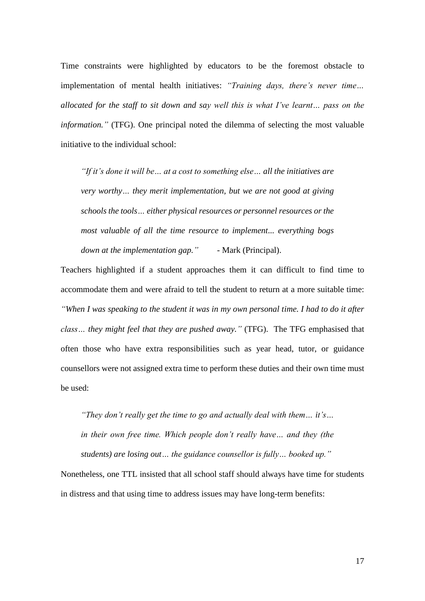Time constraints were highlighted by educators to be the foremost obstacle to implementation of mental health initiatives: *"Training days, there's never time… allocated for the staff to sit down and say well this is what I've learnt… pass on the information."* (TFG). One principal noted the dilemma of selecting the most valuable initiative to the individual school:

*"If it's done it will be… at a cost to something else… all the initiatives are very worthy… they merit implementation, but we are not good at giving schools the tools… either physical resources or personnel resources or the most valuable of all the time resource to implement... everything bogs down at the implementation gap.*" - Mark (Principal).

Teachers highlighted if a student approaches them it can difficult to find time to accommodate them and were afraid to tell the student to return at a more suitable time: *"When I was speaking to the student it was in my own personal time. I had to do it after class… they might feel that they are pushed away."* (TFG). The TFG emphasised that often those who have extra responsibilities such as year head, tutor, or guidance counsellors were not assigned extra time to perform these duties and their own time must be used:

*"They don't really get the time to go and actually deal with them… it's… in their own free time. Which people don't really have… and they (the students) are losing out… the guidance counsellor is fully… booked up."*

Nonetheless, one TTL insisted that all school staff should always have time for students in distress and that using time to address issues may have long-term benefits: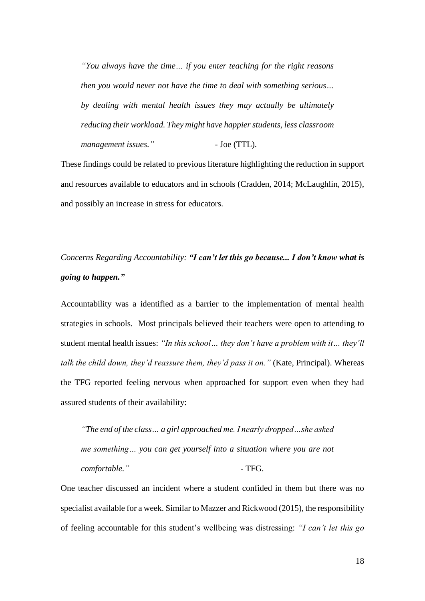*"You always have the time… if you enter teaching for the right reasons then you would never not have the time to deal with something serious… by dealing with mental health issues they may actually be ultimately reducing their workload. They might have happier students, less classroom*  management issues."  $-$  Joe (TTL).

These findings could be related to previous literature highlighting the reduction in support and resources available to educators and in schools (Cradden, 2014; McLaughlin, 2015), and possibly an increase in stress for educators.

# *Concerns Regarding Accountability: "I can't let this go because... I don't know what is going to happen."*

Accountability was a identified as a barrier to the implementation of mental health strategies in schools. Most principals believed their teachers were open to attending to student mental health issues: *"In this school… they don't have a problem with it… they'll talk the child down, they'd reassure them, they'd pass it on."* (Kate, Principal). Whereas the TFG reported feeling nervous when approached for support even when they had assured students of their availability:

*"The end of the class… a girl approached me. I nearly dropped…she asked me something… you can get yourself into a situation where you are not comfortable."* - TFG.

One teacher discussed an incident where a student confided in them but there was no specialist available for a week. Similar to Mazzer and Rickwood (2015), the responsibility of feeling accountable for this student's wellbeing was distressing: *"I can't let this go*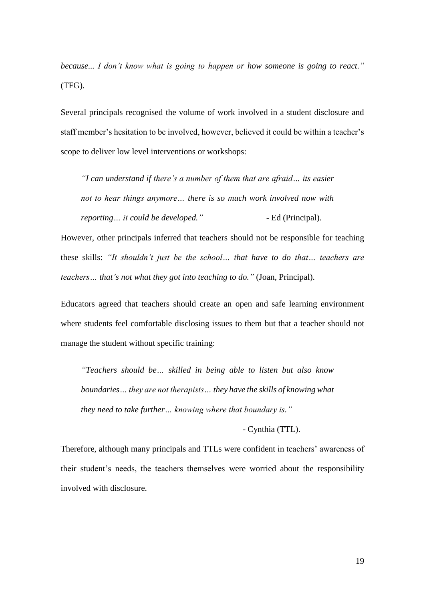*because... I don't know what is going to happen or how someone is going to react."* (TFG).

Several principals recognised the volume of work involved in a student disclosure and staff member's hesitation to be involved, however, believed it could be within a teacher's scope to deliver low level interventions or workshops:

*"I can understand if there's a number of them that are afraid… its easier not to hear things anymore… there is so much work involved now with reporting… it could be developed."* - Ed (Principal).

However, other principals inferred that teachers should not be responsible for teaching these skills: *"It shouldn't just be the school… that have to do that… teachers are teachers… that's not what they got into teaching to do."* (Joan, Principal).

Educators agreed that teachers should create an open and safe learning environment where students feel comfortable disclosing issues to them but that a teacher should not manage the student without specific training:

*"Teachers should be… skilled in being able to listen but also know boundaries… they are not therapists… they have the skills of knowing what they need to take further… knowing where that boundary is."*

- Cynthia (TTL).

Therefore, although many principals and TTLs were confident in teachers' awareness of their student's needs, the teachers themselves were worried about the responsibility involved with disclosure.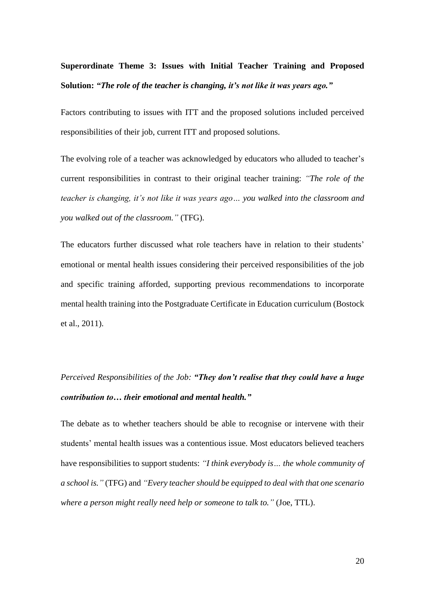# **Superordinate Theme 3: Issues with Initial Teacher Training and Proposed Solution:** *"The role of the teacher is changing, it's not like it was years ago."*

Factors contributing to issues with ITT and the proposed solutions included perceived responsibilities of their job, current ITT and proposed solutions.

The evolving role of a teacher was acknowledged by educators who alluded to teacher's current responsibilities in contrast to their original teacher training: *"The role of the teacher is changing, it's not like it was years ago… you walked into the classroom and you walked out of the classroom."* (TFG).

The educators further discussed what role teachers have in relation to their students' emotional or mental health issues considering their perceived responsibilities of the job and specific training afforded, supporting previous recommendations to incorporate mental health training into the Postgraduate Certificate in Education curriculum (Bostock et al., 2011).

# *Perceived Responsibilities of the Job: "They don't realise that they could have a huge contribution to… their emotional and mental health."*

The debate as to whether teachers should be able to recognise or intervene with their students' mental health issues was a contentious issue. Most educators believed teachers have responsibilities to support students: *"I think everybody is… the whole community of a school is."* (TFG) and *"Every teacher should be equipped to deal with that one scenario where a person might really need help or someone to talk to."* (Joe, TTL).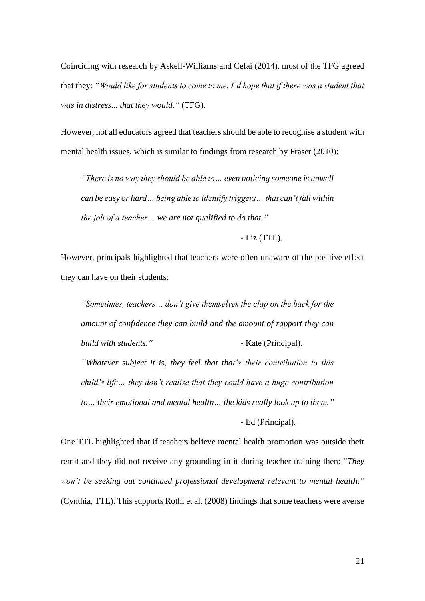Coinciding with research by Askell-Williams and Cefai (2014), most of the TFG agreed that they: *"Would like for students to come to me. I'd hope that if there was a student that was in distress... that they would."* (TFG).

However, not all educators agreed that teachers should be able to recognise a student with mental health issues, which is similar to findings from research by Fraser (2010):

*"There is no way they should be able to… even noticing someone is unwell can be easy or hard… being able to identify triggers… that can't fall within the job of a teacher… we are not qualified to do that."* 

- Liz (TTL).

However, principals highlighted that teachers were often unaware of the positive effect they can have on their students:

*"Sometimes, teachers… don't give themselves the clap on the back for the amount of confidence they can build and the amount of rapport they can build with students.*" - Kate (Principal). *"Whatever subject it is, they feel that that's their contribution to this child's life… they don't realise that they could have a huge contribution to… their emotional and mental health… the kids really look up to them."*

- Ed (Principal).

One TTL highlighted that if teachers believe mental health promotion was outside their remit and they did not receive any grounding in it during teacher training then: "*They won't be seeking out continued professional development relevant to mental health."* (Cynthia, TTL). This supports Rothi et al. (2008) findings that some teachers were averse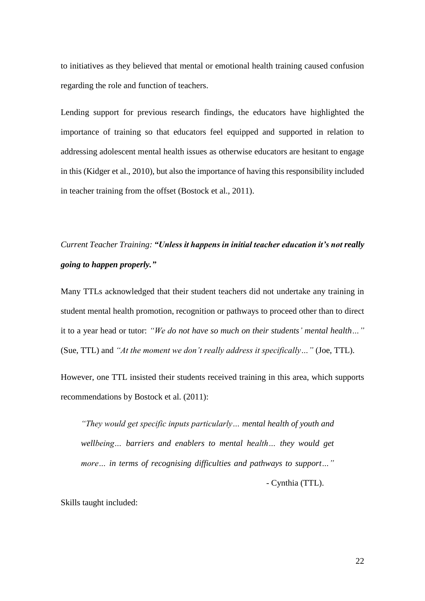to initiatives as they believed that mental or emotional health training caused confusion regarding the role and function of teachers.

Lending support for previous research findings, the educators have highlighted the importance of training so that educators feel equipped and supported in relation to addressing adolescent mental health issues as otherwise educators are hesitant to engage in this (Kidger et al., 2010), but also the importance of having this responsibility included in teacher training from the offset (Bostock et al., 2011).

# *Current Teacher Training: "Unless it happens in initial teacher education it's not really going to happen properly."*

Many TTLs acknowledged that their student teachers did not undertake any training in student mental health promotion, recognition or pathways to proceed other than to direct it to a year head or tutor: *"We do not have so much on their students' mental health…"* (Sue, TTL) and *"At the moment we don't really address it specifically…"* (Joe, TTL).

However, one TTL insisted their students received training in this area, which supports recommendations by Bostock et al. (2011):

*"They would get specific inputs particularly… mental health of youth and wellbeing… barriers and enablers to mental health… they would get more… in terms of recognising difficulties and pathways to support…"*

- Cynthia (TTL).

Skills taught included: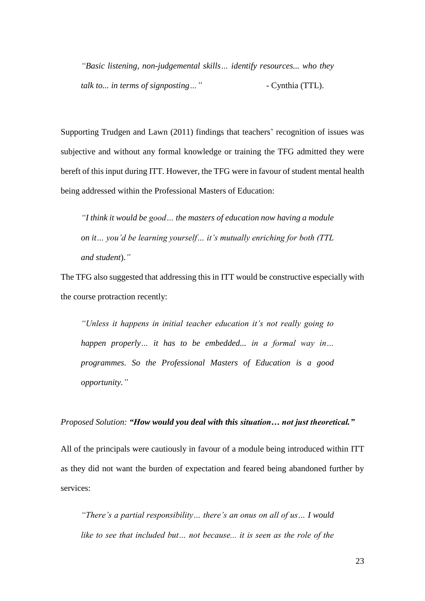*"Basic listening, non-judgemental skills… identify resources... who they talk to... in terms of signposting…"* - Cynthia (TTL).

Supporting Trudgen and Lawn (2011) findings that teachers' recognition of issues was subjective and without any formal knowledge or training the TFG admitted they were bereft of this input during ITT. However, the TFG were in favour of student mental health being addressed within the Professional Masters of Education:

*"I think it would be good… the masters of education now having a module on it… you'd be learning yourself… it's mutually enriching for both (TTL and student*).*"*

The TFG also suggested that addressing this in ITT would be constructive especially with the course protraction recently:

*"Unless it happens in initial teacher education it's not really going to happen properly… it has to be embedded... in a formal way in… programmes. So the Professional Masters of Education is a good opportunity."*

### *Proposed Solution: "How would you deal with this situation… not just theoretical."*

All of the principals were cautiously in favour of a module being introduced within ITT as they did not want the burden of expectation and feared being abandoned further by services:

*"There's a partial responsibility… there's an onus on all of us… I would*  like to see that included but... not because... it is seen as the role of the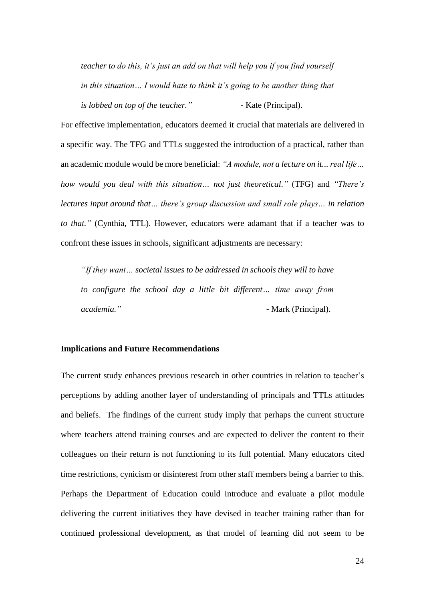*teacher to do this, it's just an add on that will help you if you find yourself in this situation… I would hate to think it's going to be another thing that is lobbed on top of the teacher.*" - Kate (Principal).

For effective implementation, educators deemed it crucial that materials are delivered in a specific way. The TFG and TTLs suggested the introduction of a practical, rather than an academic module would be more beneficial: *"A module, not a lecture on it... real life… how would you deal with this situation… not just theoretical."* (TFG) and *"There's lectures input around that… there's group discussion and small role plays… in relation to that."* (Cynthia, TTL). However, educators were adamant that if a teacher was to confront these issues in schools, significant adjustments are necessary:

*"If they want… societal issues to be addressed in schools they will to have to configure the school day a little bit different… time away from academia.*" - **Mark** (Principal).

### **Implications and Future Recommendations**

The current study enhances previous research in other countries in relation to teacher's perceptions by adding another layer of understanding of principals and TTLs attitudes and beliefs. The findings of the current study imply that perhaps the current structure where teachers attend training courses and are expected to deliver the content to their colleagues on their return is not functioning to its full potential. Many educators cited time restrictions, cynicism or disinterest from other staff members being a barrier to this. Perhaps the Department of Education could introduce and evaluate a pilot module delivering the current initiatives they have devised in teacher training rather than for continued professional development, as that model of learning did not seem to be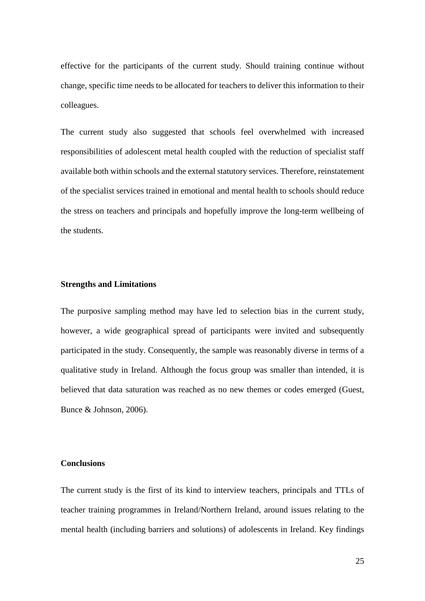effective for the participants of the current study. Should training continue without change, specific time needs to be allocated for teachers to deliver this information to their colleagues.

The current study also suggested that schools feel overwhelmed with increased responsibilities of adolescent metal health coupled with the reduction of specialist staff available both within schools and the external statutory services. Therefore, reinstatement of the specialist services trained in emotional and mental health to schools should reduce the stress on teachers and principals and hopefully improve the long-term wellbeing of the students.

### **Strengths and Limitations**

The purposive sampling method may have led to selection bias in the current study, however, a wide geographical spread of participants were invited and subsequently participated in the study. Consequently, the sample was reasonably diverse in terms of a qualitative study in Ireland. Although the focus group was smaller than intended, it is believed that data saturation was reached as no new themes or codes emerged (Guest, Bunce & Johnson, 2006).

### **Conclusions**

The current study is the first of its kind to interview teachers, principals and TTLs of teacher training programmes in Ireland/Northern Ireland, around issues relating to the mental health (including barriers and solutions) of adolescents in Ireland. Key findings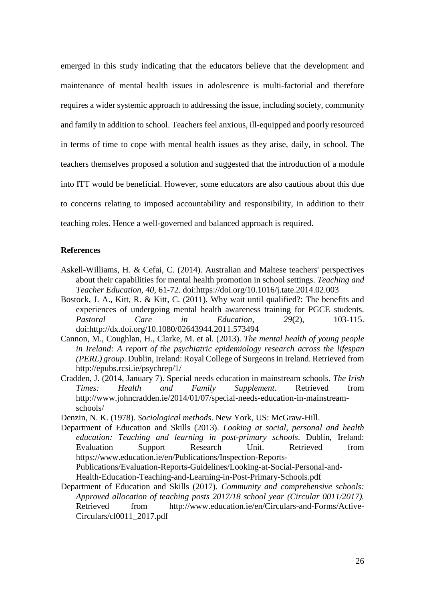emerged in this study indicating that the educators believe that the development and maintenance of mental health issues in adolescence is multi-factorial and therefore requires a wider systemic approach to addressing the issue, including society, community and family in addition to school. Teachers feel anxious, ill-equipped and poorly resourced in terms of time to cope with mental health issues as they arise, daily, in school. The teachers themselves proposed a solution and suggested that the introduction of a module into ITT would be beneficial. However, some educators are also cautious about this due to concerns relating to imposed accountability and responsibility, in addition to their teaching roles. Hence a well-governed and balanced approach is required.

## **References**

- Askell-Williams, H. & Cefai, C. (2014). Australian and Maltese teachers' perspectives about their capabilities for mental health promotion in school settings. *Teaching and Teacher Education, 40,* 61-72. doi:https://doi.org/10.1016/j.tate.2014.02.003
- Bostock, J. A., Kitt, R. & Kitt, C. (2011). Why wait until qualified?: The benefits and experiences of undergoing mental health awareness training for PGCE students. *Pastoral Care in Education, 29*(2), 103-115. doi:http://dx.doi.org/10.1080/02643944.2011.573494
- Cannon, M., Coughlan, H., Clarke, M. et al. (2013). *The mental health of young people in Ireland: A report of the psychiatric epidemiology research across the lifespan (PERL) group*. Dublin, Ireland: Royal College of Surgeons in Ireland. Retrieved from http://epubs.rcsi.ie/psychrep/1/
- Cradden, J. (2014, January 7). Special needs education in mainstream schools. *The Irish Times: Health and Family Supplement*. Retrieved from http://www.johncradden.ie/2014/01/07/special-needs-education-in-mainstreamschools/
- Denzin, N. K. (1978). *Sociological methods*. New York, US: McGraw-Hill.
- Department of Education and Skills (2013). *Looking at social, personal and health education: Teaching and learning in post-primary schools*. Dublin, Ireland: Evaluation Support Research Unit. Retrieved from https://www.education.ie/en/Publications/Inspection-Reports-Publications/Evaluation-Reports-Guidelines/Looking-at-Social-Personal-and-Health-Education-Teaching-and-Learning-in-Post-Primary-Schools.pdf
- Department of Education and Skills (2017). *Community and comprehensive schools: Approved allocation of teaching posts 2017/18 school year (Circular 0011/2017).* Retrieved from http://www.education.ie/en/Circulars-and-Forms/Active-Circulars/cl0011\_2017.pdf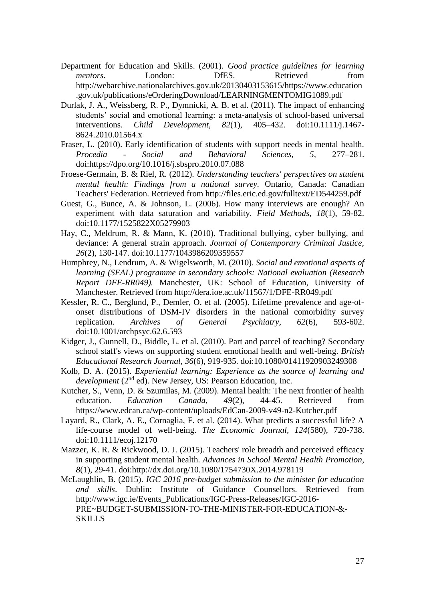- Department for Education and Skills. (2001). *Good practice guidelines for learning mentors*. London: DfES. Retrieved from http://webarchive.nationalarchives.gov.uk/20130403153615/https://www.education .gov.uk/publications/eOrderingDownload/LEARNINGMENTOMIG1089.pdf
- Durlak, J. A., Weissberg, R. P., Dymnicki, A. B. et al. (2011). The impact of enhancing students' social and emotional learning: a meta-analysis of school-based universal interventions. *Child Development, 82*(1), 405–432. doi:10.1111/j.1467- 8624.2010.01564.x
- Fraser, L. (2010). Early identification of students with support needs in mental health. *Procedia* - *Social and Behavioral Sciences, 5,* 277–281. doi:https://dpo.org/10.1016/j.sbspro.2010.07.088
- Froese-Germain, B. & Riel, R. (2012). *Understanding teachers' perspectives on student mental health: Findings from a national survey.* Ontario, Canada: Canadian Teachers' Federation. Retrieved from http://files.eric.ed.gov/fulltext/ED544259.pdf
- Guest, G., Bunce, A. & Johnson, L. (2006). How many interviews are enough? An experiment with data saturation and variability*. Field Methods, 18*(1), 59-82. doi:10.1177/1525822X05279903
- Hay, C., Meldrum, R. & Mann, K. (2010). Traditional bullying, cyber bullying, and deviance: A general strain approach. *Journal of Contemporary Criminal Justice, 26*(2), 130-147. doi:10.1177/1043986209359557
- Humphrey, N., Lendrum, A. & Wigelsworth, M. (2010). *Social and emotional aspects of learning (SEAL) programme in secondary schools: National evaluation (Research Report DFE-RR049).* Manchester, UK: School of Education, University of Manchester. Retrieved from http://dera.ioe.ac.uk/11567/1/DFE-RR049.pdf
- Kessler, R. C., Berglund, P., Demler, O. et al. (2005). Lifetime prevalence and age-ofonset distributions of DSM-IV disorders in the national comorbidity survey replication. *Archives of General Psychiatry, 62*(6), 593-602. doi:10.1001/archpsyc.62.6.593
- Kidger, J., Gunnell, D., Biddle, L. et al. (2010). Part and parcel of teaching? Secondary school staff's views on supporting student emotional health and well-being. *British Educational Research Journal, 36*(6), 919-935. doi:10.1080/01411920903249308
- Kolb, D. A. (2015). *Experiential learning: Experience as the source of learning and development* (2<sup>nd</sup> ed). New Jersey, US: Pearson Education, Inc.
- Kutcher, S., Venn, D. & Szumilas, M. (2009). Mental health: The next frontier of health education. *Education Canada, 49*(2), 44-45. Retrieved from https://www.edcan.ca/wp-content/uploads/EdCan-2009-v49-n2-Kutcher.pdf
- Layard, R., Clark, A. E., Cornaglia, F. et al. (2014). What predicts a successful life? A life-course model of well-being. *The Economic Journal, 124*(580), 720-738. doi:10.1111/ecoj.12170
- Mazzer, K. R. & Rickwood, D. J. (2015). Teachers' role breadth and perceived efficacy in supporting student mental health. *Advances in School Mental Health Promotion, 8*(1), 29-41. doi:http://dx.doi.org/10.1080/1754730X.2014.978119
- McLaughlin, B. (2015). *IGC 2016 pre-budget submission to the minister for education and skills*. Dublin: Institute of Guidance Counsellors. Retrieved from http://www.igc.ie/Events\_Publications/IGC-Press-Releases/IGC-2016- PRE~BUDGET-SUBMISSION-TO-THE-MINISTER-FOR-EDUCATION-&- SKILLS